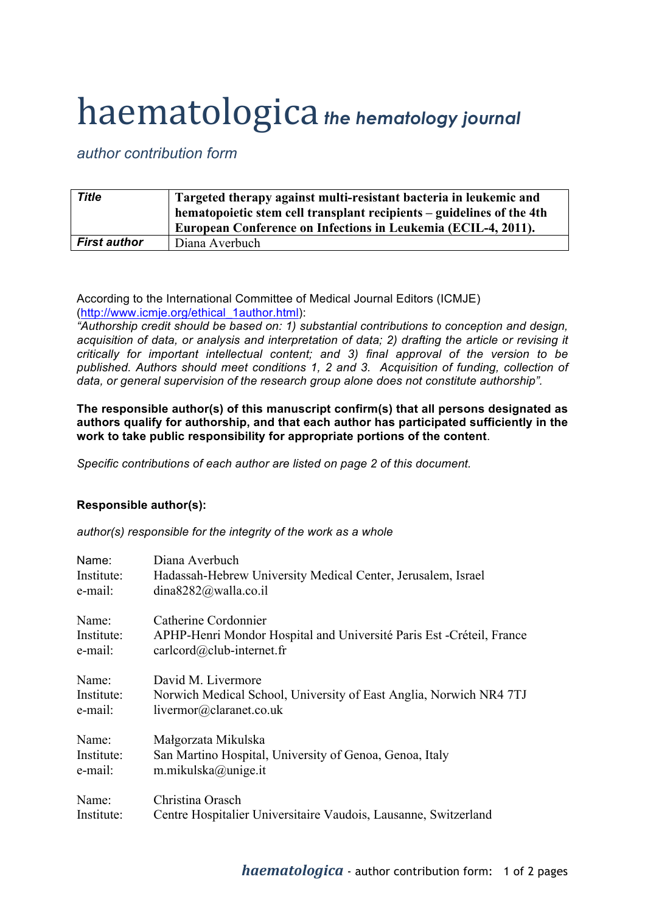## haematologica *the hematology journal*

## *author contribution form*

| <b>Title</b>        | Targeted therapy against multi-resistant bacteria in leukemic and<br>hematopoietic stem cell transplant recipients – guidelines of the 4th<br>European Conference on Infections in Leukemia (ECIL-4, 2011). |
|---------------------|-------------------------------------------------------------------------------------------------------------------------------------------------------------------------------------------------------------|
| <b>First author</b> | Diana Averbuch                                                                                                                                                                                              |

According to the International Committee of Medical Journal Editors (ICMJE) (http://www.icmje.org/ethical\_1author.html):

*"Authorship credit should be based on: 1) substantial contributions to conception and design, acquisition of data, or analysis and interpretation of data; 2) drafting the article or revising it critically for important intellectual content; and 3) final approval of the version to be published. Authors should meet conditions 1, 2 and 3. Acquisition of funding, collection of data, or general supervision of the research group alone does not constitute authorship".*

**The responsible author(s) of this manuscript confirm(s) that all persons designated as authors qualify for authorship, and that each author has participated sufficiently in the work to take public responsibility for appropriate portions of the content**.

*Specific contributions of each author are listed on page 2 of this document.*

## **Responsible author(s):**

*author(s) responsible for the integrity of the work as a whole*

| Name:      | Diana Averbuch                                                        |
|------------|-----------------------------------------------------------------------|
| Institute: | Hadassah-Hebrew University Medical Center, Jerusalem, Israel          |
| e-mail:    | dina8282@walla.co.il                                                  |
| Name:      | Catherine Cordonnier                                                  |
| Institute: | APHP-Henri Mondor Hospital and Université Paris Est - Créteil, France |
| e-mail:    | $card(\omega)$ club-internet.fr                                       |
| Name:      | David M. Livermore                                                    |
| Institute: | Norwich Medical School, University of East Anglia, Norwich NR4 7TJ    |
| e-mail:    | livermor@claranet.co.uk                                               |
| Name:      | Małgorzata Mikulska                                                   |
| Institute: | San Martino Hospital, University of Genoa, Genoa, Italy               |
| e-mail:    | m.mikulska@unige.it                                                   |
| Name:      | Christina Orasch                                                      |
| Institute: | Centre Hospitalier Universitaire Vaudois, Lausanne, Switzerland       |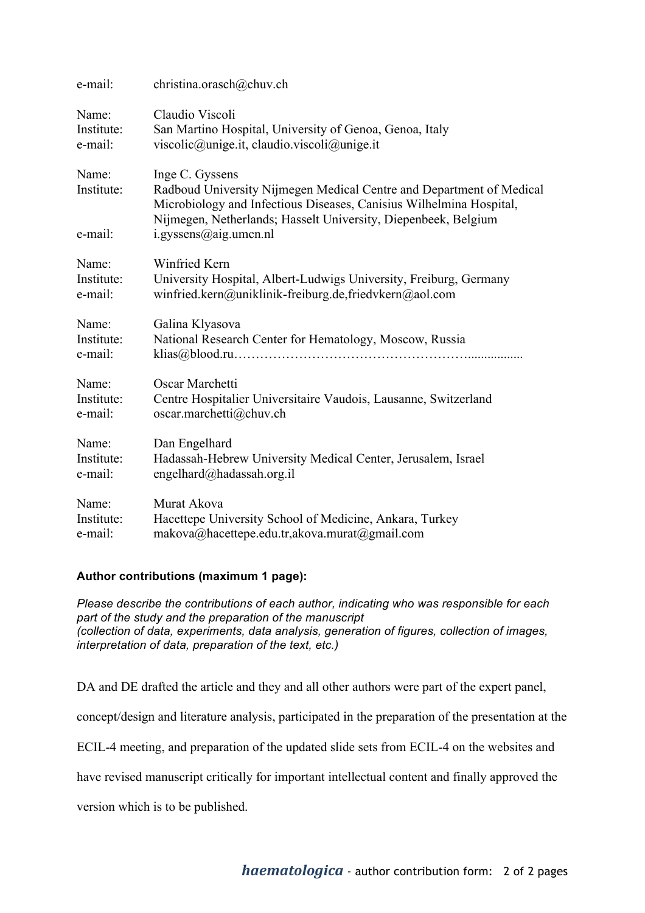| e-mail:                        | christina.orasch@chuv.ch                                                                                                                                                                                                                                  |
|--------------------------------|-----------------------------------------------------------------------------------------------------------------------------------------------------------------------------------------------------------------------------------------------------------|
| Name:                          | Claudio Viscoli                                                                                                                                                                                                                                           |
| Institute:                     | San Martino Hospital, University of Genoa, Genoa, Italy                                                                                                                                                                                                   |
| e-mail:                        | viscolic@unige.it, claudio.viscoli@unige.it                                                                                                                                                                                                               |
| Name:<br>Institute:<br>e-mail: | Inge C. Gyssens<br>Radboud University Nijmegen Medical Centre and Department of Medical<br>Microbiology and Infectious Diseases, Canisius Wilhelmina Hospital,<br>Nijmegen, Netherlands; Hasselt University, Diepenbeek, Belgium<br>i.gyssens@aig.umcn.nl |
| Name:                          | Winfried Kern                                                                                                                                                                                                                                             |
| Institute:                     | University Hospital, Albert-Ludwigs University, Freiburg, Germany                                                                                                                                                                                         |
| e-mail:                        | winfried.kern@uniklinik-freiburg.de,friedvkern@aol.com                                                                                                                                                                                                    |
| Name:                          | Galina Klyasova                                                                                                                                                                                                                                           |
| Institute:                     | National Research Center for Hematology, Moscow, Russia                                                                                                                                                                                                   |
| e-mail:                        |                                                                                                                                                                                                                                                           |
| Name:                          | Oscar Marchetti                                                                                                                                                                                                                                           |
| Institute:                     | Centre Hospitalier Universitaire Vaudois, Lausanne, Switzerland                                                                                                                                                                                           |
| e-mail:                        | oscar.marchetti@chuv.ch                                                                                                                                                                                                                                   |
| Name:                          | Dan Engelhard                                                                                                                                                                                                                                             |
| Institute:                     | Hadassah-Hebrew University Medical Center, Jerusalem, Israel                                                                                                                                                                                              |
| e-mail:                        | engelhard@hadassah.org.il                                                                                                                                                                                                                                 |
| Name:                          | Murat Akova                                                                                                                                                                                                                                               |
| Institute:                     | Hacettepe University School of Medicine, Ankara, Turkey                                                                                                                                                                                                   |
| e-mail:                        | makova@hacettepe.edu.tr,akova.murat@gmail.com                                                                                                                                                                                                             |

## **Author contributions (maximum 1 page):**

*Please describe the contributions of each author, indicating who was responsible for each part of the study and the preparation of the manuscript (collection of data, experiments, data analysis, generation of figures, collection of images, interpretation of data, preparation of the text, etc.)*

DA and DE drafted the article and they and all other authors were part of the expert panel,

concept/design and literature analysis, participated in the preparation of the presentation at the

ECIL-4 meeting, and preparation of the updated slide sets from ECIL-4 on the websites and

have revised manuscript critically for important intellectual content and finally approved the

version which is to be published.